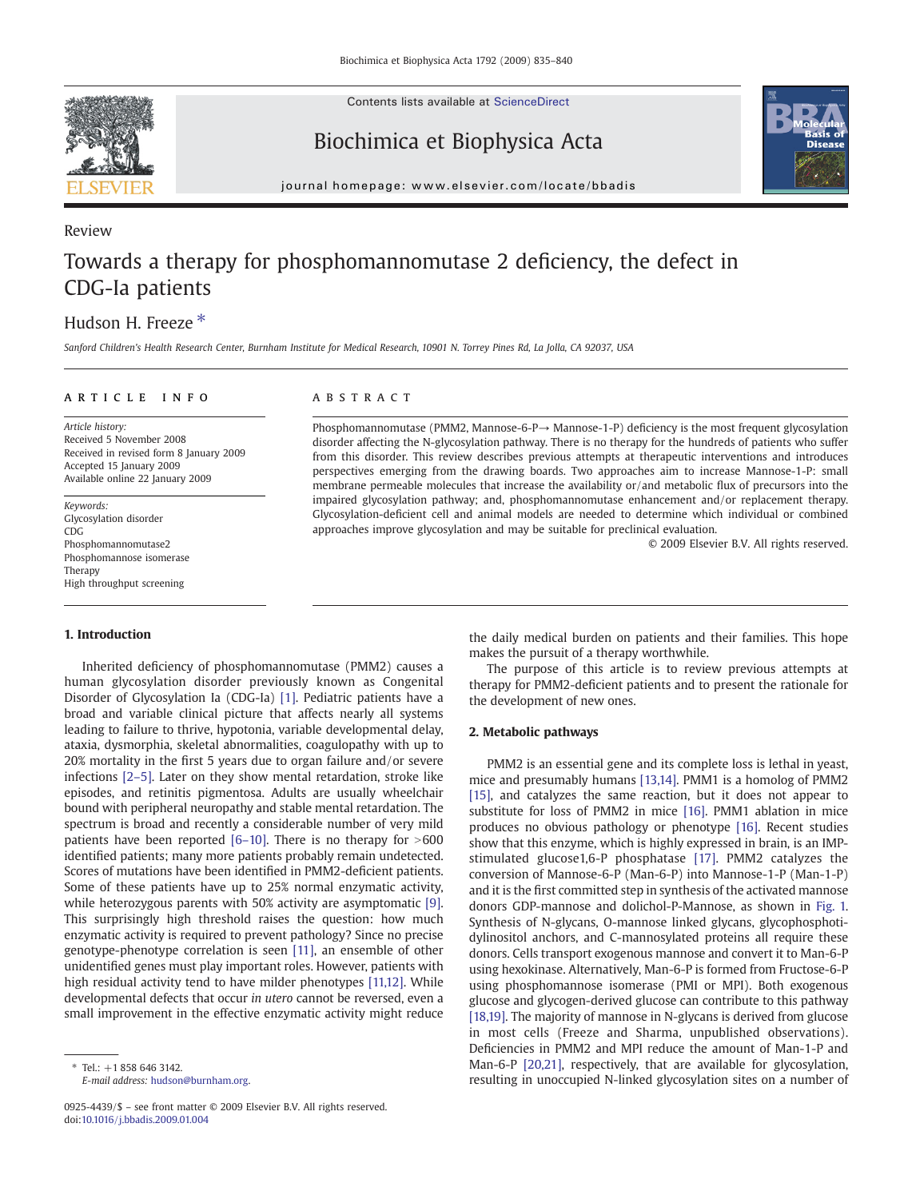Contents lists available at [ScienceDirect](http://www.sciencedirect.com/science/journal/09254439)



Review

Biochimica et Biophysica Acta



journal homepage: www.elsevier.com/locate/bbadis

# Towards a therapy for phosphomannomutase 2 deficiency, the defect in CDG-Ia patients

## Hudson H. Freeze<sup>\*</sup>

Sanford Children's Health Research Center, Burnham Institute for Medical Research, 10901 N. Torrey Pines Rd, La Jolla, CA 92037, USA

### ARTICLE INFO ABSTRACT

Article history: Received 5 November 2008 Received in revised form 8 January 2009 Accepted 15 January 2009 Available online 22 January 2009

Keywords: Glycosylation disorder CDG Phosphomannomutase2 Phosphomannose isomerase Therapy High throughput screening

#### 1. Introduction

Phosphomannomutase (PMM2, Mannose-6-P→ Mannose-1-P) deficiency is the most frequent glycosylation disorder affecting the N-glycosylation pathway. There is no therapy for the hundreds of patients who suffer from this disorder. This review describes previous attempts at therapeutic interventions and introduces perspectives emerging from the drawing boards. Two approaches aim to increase Mannose-1-P: small membrane permeable molecules that increase the availability or/and metabolic flux of precursors into the impaired glycosylation pathway; and, phosphomannomutase enhancement and/or replacement therapy. Glycosylation-deficient cell and animal models are needed to determine which individual or combined approaches improve glycosylation and may be suitable for preclinical evaluation.

© 2009 Elsevier B.V. All rights reserved.

Inherited deficiency of phosphomannomutase (PMM2) causes a human glycosylation disorder previously known as Congenital Disorder of Glycosylation Ia (CDG-Ia) [\[1\].](#page-4-0) Pediatric patients have a broad and variable clinical picture that affects nearly all systems leading to failure to thrive, hypotonia, variable developmental delay, ataxia, dysmorphia, skeletal abnormalities, coagulopathy with up to 20% mortality in the first 5 years due to organ failure and/or severe infections [\[2](#page-4-0)–5]. Later on they show mental retardation, stroke like episodes, and retinitis pigmentosa. Adults are usually wheelchair bound with peripheral neuropathy and stable mental retardation. The spectrum is broad and recently a considerable number of very mild patients have been reported  $[6–10]$  $[6–10]$ . There is no therapy for  $>600$ identified patients; many more patients probably remain undetected. Scores of mutations have been identified in PMM2-deficient patients. Some of these patients have up to 25% normal enzymatic activity, while heterozygous parents with 50% activity are asymptomatic [\[9\].](#page-5-0) This surprisingly high threshold raises the question: how much enzymatic activity is required to prevent pathology? Since no precise genotype-phenotype correlation is seen [\[11\],](#page-5-0) an ensemble of other unidentified genes must play important roles. However, patients with high residual activity tend to have milder phenotypes [\[11,12\]](#page-5-0). While developmental defects that occur in utero cannot be reversed, even a small improvement in the effective enzymatic activity might reduce

0925-4439/\$ – see front matter © 2009 Elsevier B.V. All rights reserved. doi:[10.1016/j.bbadis.2009.01.004](http://dx.doi.org/10.1016/j.bbadis.2009.01.004)

the daily medical burden on patients and their families. This hope makes the pursuit of a therapy worthwhile.

The purpose of this article is to review previous attempts at therapy for PMM2-deficient patients and to present the rationale for the development of new ones.

#### 2. Metabolic pathways

PMM2 is an essential gene and its complete loss is lethal in yeast, mice and presumably humans [\[13,14\].](#page-5-0) PMM1 is a homolog of PMM2 [\[15\],](#page-5-0) and catalyzes the same reaction, but it does not appear to substitute for loss of PMM2 in mice [\[16\].](#page-5-0) PMM1 ablation in mice produces no obvious pathology or phenotype [\[16\].](#page-5-0) Recent studies show that this enzyme, which is highly expressed in brain, is an IMPstimulated glucose1,6-P phosphatase [\[17\].](#page-5-0) PMM2 catalyzes the conversion of Mannose-6-P (Man-6-P) into Mannose-1-P (Man-1-P) and it is the first committed step in synthesis of the activated mannose donors GDP-mannose and dolichol-P-Mannose, as shown in [Fig. 1.](#page-1-0) Synthesis of N-glycans, O-mannose linked glycans, glycophosphotidylinositol anchors, and C-mannosylated proteins all require these donors. Cells transport exogenous mannose and convert it to Man-6-P using hexokinase. Alternatively, Man-6-P is formed from Fructose-6-P using phosphomannose isomerase (PMI or MPI). Both exogenous glucose and glycogen-derived glucose can contribute to this pathway [\[18,19\]](#page-5-0). The majority of mannose in N-glycans is derived from glucose in most cells (Freeze and Sharma, unpublished observations). Deficiencies in PMM2 and MPI reduce the amount of Man-1-P and Man-6-P [\[20,21\],](#page-5-0) respectively, that are available for glycosylation, resulting in unoccupied N-linked glycosylation sites on a number of

 $*$  Tel.: +1 858 646 3142. E-mail address: [hudson@burnham.org](mailto:hudson@burnham.org).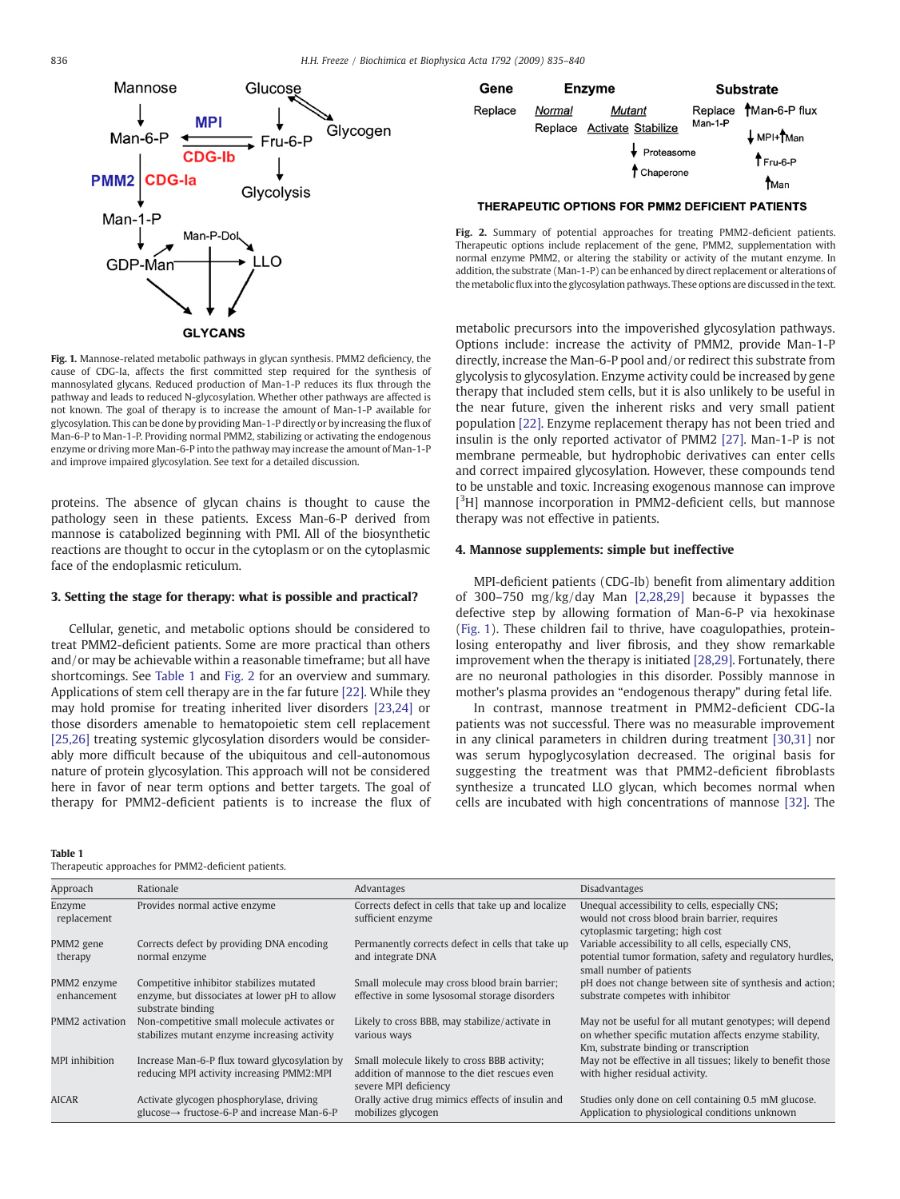<span id="page-1-0"></span>

Fig. 1. Mannose-related metabolic pathways in glycan synthesis. PMM2 deficiency, the cause of CDG-Ia, affects the first committed step required for the synthesis of mannosylated glycans. Reduced production of Man-1-P reduces its flux through the pathway and leads to reduced N-glycosylation. Whether other pathways are affected is not known. The goal of therapy is to increase the amount of Man-1-P available for glycosylation. This can be done by providing Man-1-P directly or by increasing the flux of Man-6-P to Man-1-P. Providing normal PMM2, stabilizing or activating the endogenous enzyme or driving more Man-6-P into the pathway may increase the amount of Man-1-P and improve impaired glycosylation. See text for a detailed discussion.

proteins. The absence of glycan chains is thought to cause the pathology seen in these patients. Excess Man-6-P derived from mannose is catabolized beginning with PMI. All of the biosynthetic reactions are thought to occur in the cytoplasm or on the cytoplasmic face of the endoplasmic reticulum.

#### 3. Setting the stage for therapy: what is possible and practical?

Cellular, genetic, and metabolic options should be considered to treat PMM2-deficient patients. Some are more practical than others and/or may be achievable within a reasonable timeframe; but all have shortcomings. See Table 1 and Fig. 2 for an overview and summary. Applications of stem cell therapy are in the far future [\[22\]](#page-5-0). While they may hold promise for treating inherited liver disorders [\[23,24\]](#page-5-0) or those disorders amenable to hematopoietic stem cell replacement [\[25,26\]](#page-5-0) treating systemic glycosylation disorders would be considerably more difficult because of the ubiquitous and cell-autonomous nature of protein glycosylation. This approach will not be considered here in favor of near term options and better targets. The goal of therapy for PMM2-deficient patients is to increase the flux of



THERAPEUTIC OPTIONS FOR PMM2 DEFICIENT PATIENTS

Fig. 2. Summary of potential approaches for treating PMM2-deficient patients. Therapeutic options include replacement of the gene, PMM2, supplementation with normal enzyme PMM2, or altering the stability or activity of the mutant enzyme. In addition, the substrate (Man-1-P) can be enhanced by direct replacement or alterations of themetabolic flux into the glycosylation pathways. These options are discussed in the text.

metabolic precursors into the impoverished glycosylation pathways. Options include: increase the activity of PMM2, provide Man-1-P directly, increase the Man-6-P pool and/or redirect this substrate from glycolysis to glycosylation. Enzyme activity could be increased by gene therapy that included stem cells, but it is also unlikely to be useful in the near future, given the inherent risks and very small patient population [\[22\]](#page-5-0). Enzyme replacement therapy has not been tried and insulin is the only reported activator of PMM2 [\[27\]](#page-5-0). Man-1-P is not membrane permeable, but hydrophobic derivatives can enter cells and correct impaired glycosylation. However, these compounds tend to be unstable and toxic. Increasing exogenous mannose can improve [<sup>3</sup>H] mannose incorporation in PMM2-deficient cells, but mannose therapy was not effective in patients.

#### 4. Mannose supplements: simple but ineffective

MPI-deficient patients (CDG-Ib) benefit from alimentary addition of 300–750 mg/kg/day Man [\[2,28,29\]](#page-4-0) because it bypasses the defective step by allowing formation of Man-6-P via hexokinase (Fig. 1). These children fail to thrive, have coagulopathies, proteinlosing enteropathy and liver fibrosis, and they show remarkable improvement when the therapy is initiated [\[28,29\].](#page-5-0) Fortunately, there are no neuronal pathologies in this disorder. Possibly mannose in mother's plasma provides an "endogenous therapy" during fetal life.

In contrast, mannose treatment in PMM2-deficient CDG-Ia patients was not successful. There was no measurable improvement in any clinical parameters in children during treatment [\[30,31\]](#page-5-0) nor was serum hypoglycosylation decreased. The original basis for suggesting the treatment was that PMM2-deficient fibroblasts synthesize a truncated LLO glycan, which becomes normal when cells are incubated with high concentrations of mannose [\[32\]](#page-5-0). The

Table 1

Therapeutic approaches for PMM2-deficient patients.

| Approach                   | Rationale                                                                                                     | Advantages                                                                                                            | <b>Disadvantages</b>                                                                                                                                        |
|----------------------------|---------------------------------------------------------------------------------------------------------------|-----------------------------------------------------------------------------------------------------------------------|-------------------------------------------------------------------------------------------------------------------------------------------------------------|
| Enzyme<br>replacement      | Provides normal active enzyme                                                                                 | Corrects defect in cells that take up and localize<br>sufficient enzyme                                               | Unequal accessibility to cells, especially CNS;<br>would not cross blood brain barrier, requires<br>cytoplasmic targeting; high cost                        |
| PMM2 gene<br>therapy       | Corrects defect by providing DNA encoding<br>normal enzyme                                                    | Permanently corrects defect in cells that take up<br>and integrate DNA                                                | Variable accessibility to all cells, especially CNS,<br>potential tumor formation, safety and regulatory hurdles,<br>small number of patients               |
| PMM2 enzyme<br>enhancement | Competitive inhibitor stabilizes mutated<br>enzyme, but dissociates at lower pH to allow<br>substrate binding | Small molecule may cross blood brain barrier;<br>effective in some lysosomal storage disorders                        | pH does not change between site of synthesis and action;<br>substrate competes with inhibitor                                                               |
| PMM2 activation            | Non-competitive small molecule activates or<br>stabilizes mutant enzyme increasing activity                   | Likely to cross BBB, may stabilize/activate in<br>various ways                                                        | May not be useful for all mutant genotypes; will depend<br>on whether specific mutation affects enzyme stability,<br>Km, substrate binding or transcription |
| MPI inhibition             | Increase Man-6-P flux toward glycosylation by<br>reducing MPI activity increasing PMM2:MPI                    | Small molecule likely to cross BBB activity;<br>addition of mannose to the diet rescues even<br>severe MPI deficiency | May not be effective in all tissues; likely to benefit those<br>with higher residual activity.                                                              |
| <b>AICAR</b>               | Activate glycogen phosphorylase, driving<br>$glucose \rightarrow fructose-6-P$ and increase Man-6-P           | Orally active drug mimics effects of insulin and<br>mobilizes glycogen                                                | Studies only done on cell containing 0.5 mM glucose.<br>Application to physiological conditions unknown                                                     |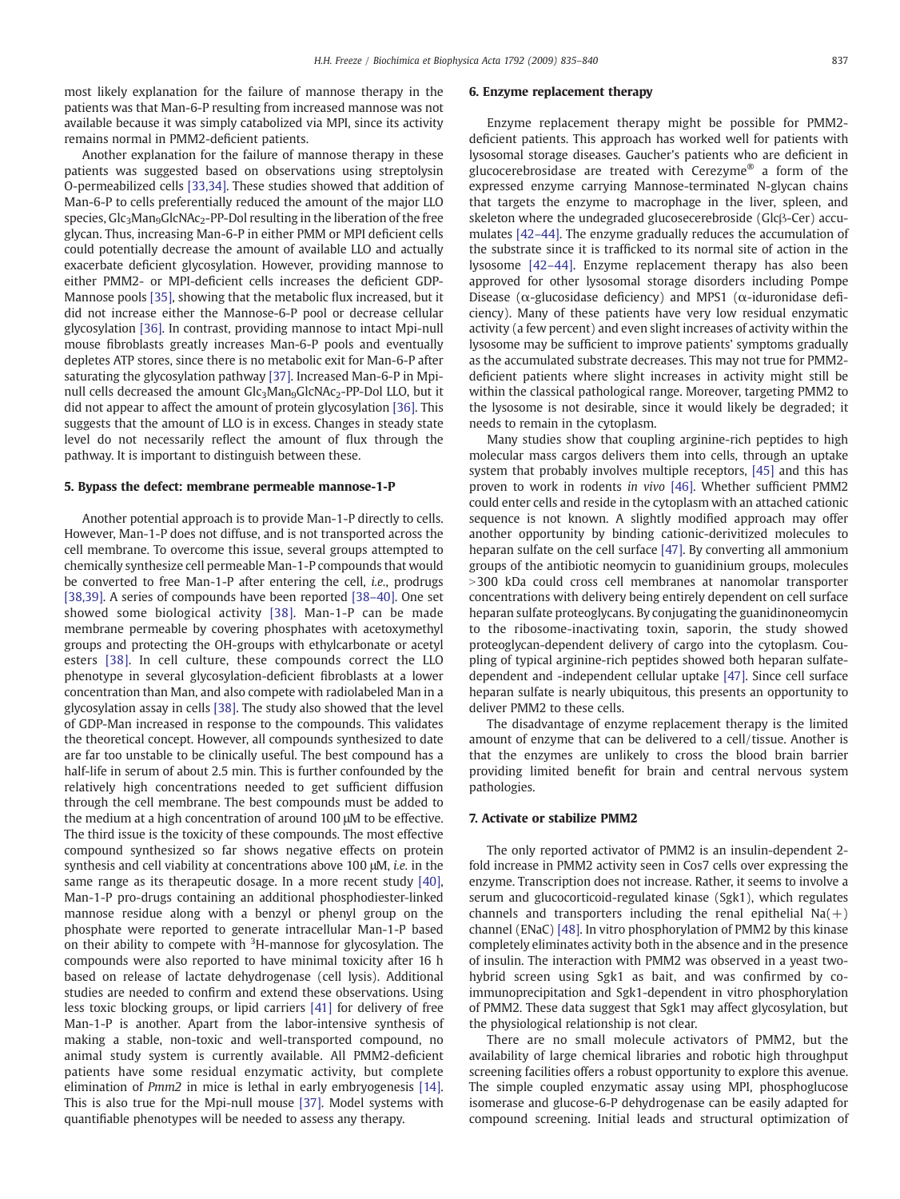most likely explanation for the failure of mannose therapy in the patients was that Man-6-P resulting from increased mannose was not available because it was simply catabolized via MPI, since its activity remains normal in PMM2-deficient patients.

Another explanation for the failure of mannose therapy in these patients was suggested based on observations using streptolysin O-permeabilized cells [\[33,34\].](#page-5-0) These studies showed that addition of Man-6-P to cells preferentially reduced the amount of the major LLO species,  $Glc<sub>3</sub>Man<sub>9</sub>GlcNAc<sub>2</sub>$ -PP-Dol resulting in the liberation of the free glycan. Thus, increasing Man-6-P in either PMM or MPI deficient cells could potentially decrease the amount of available LLO and actually exacerbate deficient glycosylation. However, providing mannose to either PMM2- or MPI-deficient cells increases the deficient GDP-Mannose pools [\[35\],](#page-5-0) showing that the metabolic flux increased, but it did not increase either the Mannose-6-P pool or decrease cellular glycosylation [\[36\]](#page-5-0). In contrast, providing mannose to intact Mpi-null mouse fibroblasts greatly increases Man-6-P pools and eventually depletes ATP stores, since there is no metabolic exit for Man-6-P after saturating the glycosylation pathway [\[37\]](#page-5-0). Increased Man-6-P in Mpinull cells decreased the amount Glc<sub>3</sub>Man<sub>9</sub>GlcNAc<sub>2</sub>-PP-Dol LLO, but it did not appear to affect the amount of protein glycosylation [\[36\].](#page-5-0) This suggests that the amount of LLO is in excess. Changes in steady state level do not necessarily reflect the amount of flux through the pathway. It is important to distinguish between these.

#### 5. Bypass the defect: membrane permeable mannose-1-P

Another potential approach is to provide Man-1-P directly to cells. However, Man-1-P does not diffuse, and is not transported across the cell membrane. To overcome this issue, several groups attempted to chemically synthesize cell permeable Man-1-P compounds that would be converted to free Man-1-P after entering the cell, i.e., prodrugs [\[38,39\]](#page-5-0). A series of compounds have been reported [\[38](#page-5-0)–40]. One set showed some biological activity [\[38\]](#page-5-0). Man-1-P can be made membrane permeable by covering phosphates with acetoxymethyl groups and protecting the OH-groups with ethylcarbonate or acetyl esters [\[38\]](#page-5-0). In cell culture, these compounds correct the LLO phenotype in several glycosylation-deficient fibroblasts at a lower concentration than Man, and also compete with radiolabeled Man in a glycosylation assay in cells [\[38\]](#page-5-0). The study also showed that the level of GDP-Man increased in response to the compounds. This validates the theoretical concept. However, all compounds synthesized to date are far too unstable to be clinically useful. The best compound has a half-life in serum of about 2.5 min. This is further confounded by the relatively high concentrations needed to get sufficient diffusion through the cell membrane. The best compounds must be added to the medium at a high concentration of around 100 μM to be effective. The third issue is the toxicity of these compounds. The most effective compound synthesized so far shows negative effects on protein synthesis and cell viability at concentrations above 100 μM, i.e. in the same range as its therapeutic dosage. In a more recent study [\[40\],](#page-5-0) Man-1-P pro-drugs containing an additional phosphodiester-linked mannose residue along with a benzyl or phenyl group on the phosphate were reported to generate intracellular Man-1-P based on their ability to compete with <sup>3</sup>H-mannose for glycosylation. The compounds were also reported to have minimal toxicity after 16 h based on release of lactate dehydrogenase (cell lysis). Additional studies are needed to confirm and extend these observations. Using less toxic blocking groups, or lipid carriers [\[41\]](#page-5-0) for delivery of free Man-1-P is another. Apart from the labor-intensive synthesis of making a stable, non-toxic and well-transported compound, no animal study system is currently available. All PMM2-deficient patients have some residual enzymatic activity, but complete elimination of Pmm2 in mice is lethal in early embryogenesis [\[14\].](#page-5-0) This is also true for the Mpi-null mouse [\[37\].](#page-5-0) Model systems with quantifiable phenotypes will be needed to assess any therapy.

#### 6. Enzyme replacement therapy

Enzyme replacement therapy might be possible for PMM2 deficient patients. This approach has worked well for patients with lysosomal storage diseases. Gaucher's patients who are deficient in glucocerebrosidase are treated with Cerezyme® a form of the expressed enzyme carrying Mannose-terminated N-glycan chains that targets the enzyme to macrophage in the liver, spleen, and skeleton where the undegraded glucosecerebroside (Glcβ-Cer) accumulates [\[42](#page-5-0)–44]. The enzyme gradually reduces the accumulation of the substrate since it is trafficked to its normal site of action in the lysosome [\[42](#page-5-0)–44]. Enzyme replacement therapy has also been approved for other lysosomal storage disorders including Pompe Disease ( $\alpha$ -glucosidase deficiency) and MPS1 ( $\alpha$ -iduronidase deficiency). Many of these patients have very low residual enzymatic activity (a few percent) and even slight increases of activity within the lysosome may be sufficient to improve patients' symptoms gradually as the accumulated substrate decreases. This may not true for PMM2 deficient patients where slight increases in activity might still be within the classical pathological range. Moreover, targeting PMM2 to the lysosome is not desirable, since it would likely be degraded; it needs to remain in the cytoplasm.

Many studies show that coupling arginine-rich peptides to high molecular mass cargos delivers them into cells, through an uptake system that probably involves multiple receptors, [\[45\]](#page-5-0) and this has proven to work in rodents in vivo [\[46\].](#page-5-0) Whether sufficient PMM2 could enter cells and reside in the cytoplasm with an attached cationic sequence is not known. A slightly modified approach may offer another opportunity by binding cationic-derivitized molecules to heparan sulfate on the cell surface [\[47\].](#page-5-0) By converting all ammonium groups of the antibiotic neomycin to guanidinium groups, molecules >300 kDa could cross cell membranes at nanomolar transporter concentrations with delivery being entirely dependent on cell surface heparan sulfate proteoglycans. By conjugating the guanidinoneomycin to the ribosome-inactivating toxin, saporin, the study showed proteoglycan-dependent delivery of cargo into the cytoplasm. Coupling of typical arginine-rich peptides showed both heparan sulfatedependent and -independent cellular uptake [\[47\]](#page-5-0). Since cell surface heparan sulfate is nearly ubiquitous, this presents an opportunity to deliver PMM2 to these cells.

The disadvantage of enzyme replacement therapy is the limited amount of enzyme that can be delivered to a cell/tissue. Another is that the enzymes are unlikely to cross the blood brain barrier providing limited benefit for brain and central nervous system pathologies.

#### 7. Activate or stabilize PMM2

The only reported activator of PMM2 is an insulin-dependent 2 fold increase in PMM2 activity seen in Cos7 cells over expressing the enzyme. Transcription does not increase. Rather, it seems to involve a serum and glucocorticoid-regulated kinase (Sgk1), which regulates channels and transporters including the renal epithelial  $Na(+)$ channel (ENaC) [\[48\].](#page-5-0) In vitro phosphorylation of PMM2 by this kinase completely eliminates activity both in the absence and in the presence of insulin. The interaction with PMM2 was observed in a yeast twohybrid screen using Sgk1 as bait, and was confirmed by coimmunoprecipitation and Sgk1-dependent in vitro phosphorylation of PMM2. These data suggest that Sgk1 may affect glycosylation, but the physiological relationship is not clear.

There are no small molecule activators of PMM2, but the availability of large chemical libraries and robotic high throughput screening facilities offers a robust opportunity to explore this avenue. The simple coupled enzymatic assay using MPI, phosphoglucose isomerase and glucose-6-P dehydrogenase can be easily adapted for compound screening. Initial leads and structural optimization of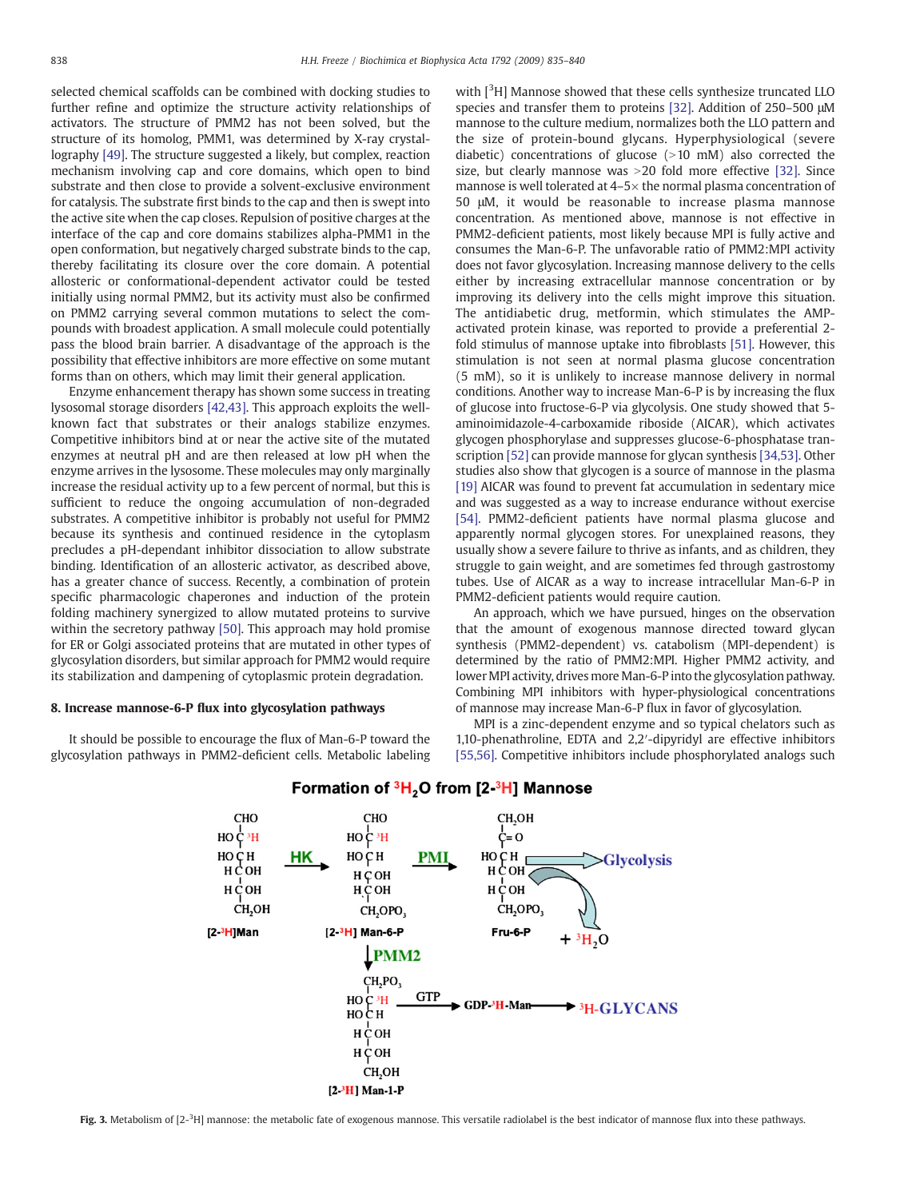<span id="page-3-0"></span>selected chemical scaffolds can be combined with docking studies to further refine and optimize the structure activity relationships of activators. The structure of PMM2 has not been solved, but the structure of its homolog, PMM1, was determined by X-ray crystallography [\[49\].](#page-5-0) The structure suggested a likely, but complex, reaction mechanism involving cap and core domains, which open to bind substrate and then close to provide a solvent-exclusive environment for catalysis. The substrate first binds to the cap and then is swept into the active site when the cap closes. Repulsion of positive charges at the interface of the cap and core domains stabilizes alpha-PMM1 in the open conformation, but negatively charged substrate binds to the cap, thereby facilitating its closure over the core domain. A potential allosteric or conformational-dependent activator could be tested initially using normal PMM2, but its activity must also be confirmed on PMM2 carrying several common mutations to select the compounds with broadest application. A small molecule could potentially pass the blood brain barrier. A disadvantage of the approach is the possibility that effective inhibitors are more effective on some mutant forms than on others, which may limit their general application.

Enzyme enhancement therapy has shown some success in treating lysosomal storage disorders [\[42,43\].](#page-5-0) This approach exploits the wellknown fact that substrates or their analogs stabilize enzymes. Competitive inhibitors bind at or near the active site of the mutated enzymes at neutral pH and are then released at low pH when the enzyme arrives in the lysosome. These molecules may only marginally increase the residual activity up to a few percent of normal, but this is sufficient to reduce the ongoing accumulation of non-degraded substrates. A competitive inhibitor is probably not useful for PMM2 because its synthesis and continued residence in the cytoplasm precludes a pH-dependant inhibitor dissociation to allow substrate binding. Identification of an allosteric activator, as described above, has a greater chance of success. Recently, a combination of protein specific pharmacologic chaperones and induction of the protein folding machinery synergized to allow mutated proteins to survive within the secretory pathway [\[50\].](#page-5-0) This approach may hold promise for ER or Golgi associated proteins that are mutated in other types of glycosylation disorders, but similar approach for PMM2 would require its stabilization and dampening of cytoplasmic protein degradation.

#### 8. Increase mannose-6-P flux into glycosylation pathways

It should be possible to encourage the flux of Man-6-P toward the glycosylation pathways in PMM2-deficient cells. Metabolic labeling with [<sup>3</sup>H] Mannose showed that these cells synthesize truncated LLO species and transfer them to proteins [\[32\].](#page-5-0) Addition of 250–500 μM mannose to the culture medium, normalizes both the LLO pattern and the size of protein-bound glycans. Hyperphysiological (severe diabetic) concentrations of glucose  $(>10 \text{ mM})$  also corrected the size, but clearly mannose was  $>$  20 fold more effective [\[32\].](#page-5-0) Since mannose is well tolerated at 4–5× the normal plasma concentration of 50 μM, it would be reasonable to increase plasma mannose concentration. As mentioned above, mannose is not effective in PMM2-deficient patients, most likely because MPI is fully active and consumes the Man-6-P. The unfavorable ratio of PMM2:MPI activity does not favor glycosylation. Increasing mannose delivery to the cells either by increasing extracellular mannose concentration or by improving its delivery into the cells might improve this situation. The antidiabetic drug, metformin, which stimulates the AMPactivated protein kinase, was reported to provide a preferential 2 fold stimulus of mannose uptake into fibroblasts [\[51\].](#page-5-0) However, this stimulation is not seen at normal plasma glucose concentration (5 mM), so it is unlikely to increase mannose delivery in normal conditions. Another way to increase Man-6-P is by increasing the flux of glucose into fructose-6-P via glycolysis. One study showed that 5 aminoimidazole-4-carboxamide riboside (AICAR), which activates glycogen phosphorylase and suppresses glucose-6-phosphatase transcription [\[52\]](#page-5-0) can provide mannose for glycan synthesis [\[34,53\]](#page-5-0). Other studies also show that glycogen is a source of mannose in the plasma [\[19\]](#page-5-0) AICAR was found to prevent fat accumulation in sedentary mice and was suggested as a way to increase endurance without exercise [\[54\].](#page-5-0) PMM2-deficient patients have normal plasma glucose and apparently normal glycogen stores. For unexplained reasons, they usually show a severe failure to thrive as infants, and as children, they struggle to gain weight, and are sometimes fed through gastrostomy tubes. Use of AICAR as a way to increase intracellular Man-6-P in PMM2-deficient patients would require caution.

An approach, which we have pursued, hinges on the observation that the amount of exogenous mannose directed toward glycan synthesis (PMM2-dependent) vs. catabolism (MPI-dependent) is determined by the ratio of PMM2:MPI. Higher PMM2 activity, and lower MPI activity, drives more Man-6-P into the glycosylation pathway. Combining MPI inhibitors with hyper-physiological concentrations of mannose may increase Man-6-P flux in favor of glycosylation.

MPI is a zinc-dependent enzyme and so typical chelators such as 1,10-phenathroline, EDTA and 2,2′-dipyridyl are effective inhibitors [\[55,56\]](#page-5-0). Competitive inhibitors include phosphorylated analogs such



#### Formation of <sup>3</sup>H<sub>2</sub>O from [2-<sup>3</sup>H] Mannose

Fig. 3. Metabolism of [2<sup>\_3</sup>H] mannose: the metabolic fate of exogenous mannose. This versatile radiolabel is the best indicator of mannose flux into these pathways.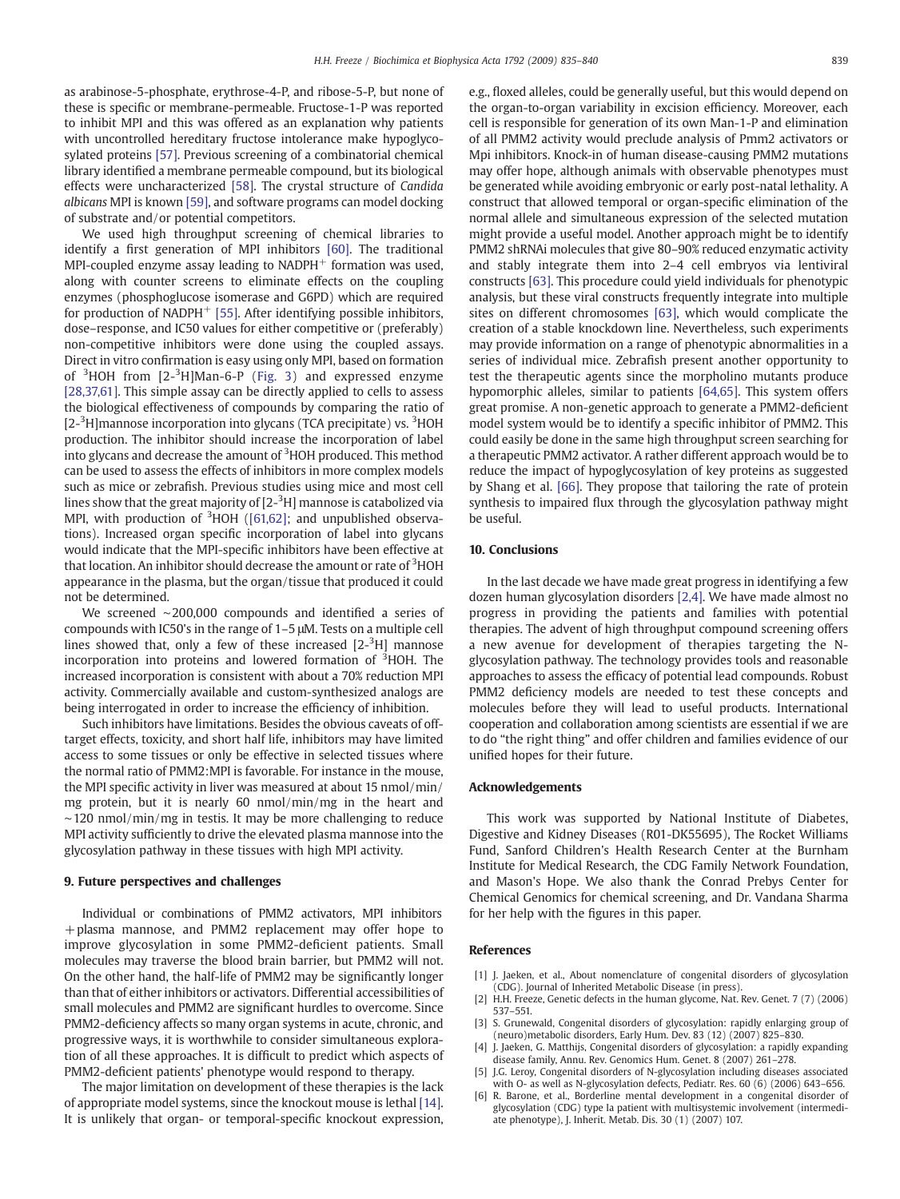<span id="page-4-0"></span>as arabinose-5-phosphate, erythrose-4-P, and ribose-5-P, but none of these is specific or membrane-permeable. Fructose-1-P was reported to inhibit MPI and this was offered as an explanation why patients with uncontrolled hereditary fructose intolerance make hypoglycosylated proteins [\[57\]](#page-5-0). Previous screening of a combinatorial chemical library identified a membrane permeable compound, but its biological effects were uncharacterized [\[58\].](#page-5-0) The crystal structure of Candida albicans MPI is known [\[59\],](#page-5-0) and software programs can model docking of substrate and/or potential competitors.

We used high throughput screening of chemical libraries to identify a first generation of MPI inhibitors [\[60\]](#page-5-0). The traditional MPI-coupled enzyme assay leading to  $NADPH<sup>+</sup>$  formation was used, along with counter screens to eliminate effects on the coupling enzymes (phosphoglucose isomerase and G6PD) which are required for production of NADPH $^+$  [\[55\]](#page-5-0). After identifying possible inhibitors, dose–response, and IC50 values for either competitive or (preferably) non-competitive inhibitors were done using the coupled assays. Direct in vitro confirmation is easy using only MPI, based on formation of <sup>3</sup>HOH from [2-<sup>3</sup>H]Man-6-P [\(Fig. 3](#page-3-0)) and expressed enzyme [\[28,37,61\].](#page-5-0) This simple assay can be directly applied to cells to assess the biological effectiveness of compounds by comparing the ratio of [2-<sup>3</sup>H]mannose incorporation into glycans (TCA precipitate) vs. <sup>3</sup>HOH production. The inhibitor should increase the incorporation of label into glycans and decrease the amount of <sup>3</sup>HOH produced. This method can be used to assess the effects of inhibitors in more complex models such as mice or zebrafish. Previous studies using mice and most cell lines show that the great majority of [2- $^3{\rm H}$ ] mannose is catabolized via MPI, with production of  $3HOH$  [\(\[61,62\];](#page-5-0) and unpublished observations). Increased organ specific incorporation of label into glycans would indicate that the MPI-specific inhibitors have been effective at that location. An inhibitor should decrease the amount or rate of <sup>3</sup>HOH appearance in the plasma, but the organ/tissue that produced it could not be determined.

We screened ∼200,000 compounds and identified a series of compounds with IC50's in the range of 1–5 μM. Tests on a multiple cell lines showed that, only a few of these increased  $[2^{-3}H]$  mannose incorporation into proteins and lowered formation of <sup>3</sup>HOH. The increased incorporation is consistent with about a 70% reduction MPI activity. Commercially available and custom-synthesized analogs are being interrogated in order to increase the efficiency of inhibition.

Such inhibitors have limitations. Besides the obvious caveats of offtarget effects, toxicity, and short half life, inhibitors may have limited access to some tissues or only be effective in selected tissues where the normal ratio of PMM2:MPI is favorable. For instance in the mouse, the MPI specific activity in liver was measured at about 15 nmol/min/ mg protein, but it is nearly 60 nmol/min/mg in the heart and ∼120 nmol/min/mg in testis. It may be more challenging to reduce MPI activity sufficiently to drive the elevated plasma mannose into the glycosylation pathway in these tissues with high MPI activity.

#### 9. Future perspectives and challenges

Individual or combinations of PMM2 activators, MPI inhibitors +plasma mannose, and PMM2 replacement may offer hope to improve glycosylation in some PMM2-deficient patients. Small molecules may traverse the blood brain barrier, but PMM2 will not. On the other hand, the half-life of PMM2 may be significantly longer than that of either inhibitors or activators. Differential accessibilities of small molecules and PMM2 are significant hurdles to overcome. Since PMM2-deficiency affects so many organ systems in acute, chronic, and progressive ways, it is worthwhile to consider simultaneous exploration of all these approaches. It is difficult to predict which aspects of PMM2-deficient patients' phenotype would respond to therapy.

The major limitation on development of these therapies is the lack of appropriate model systems, since the knockout mouse is lethal [\[14\].](#page-5-0) It is unlikely that organ- or temporal-specific knockout expression, e.g., floxed alleles, could be generally useful, but this would depend on the organ-to-organ variability in excision efficiency. Moreover, each cell is responsible for generation of its own Man-1-P and elimination of all PMM2 activity would preclude analysis of Pmm2 activators or Mpi inhibitors. Knock-in of human disease-causing PMM2 mutations may offer hope, although animals with observable phenotypes must be generated while avoiding embryonic or early post-natal lethality. A construct that allowed temporal or organ-specific elimination of the normal allele and simultaneous expression of the selected mutation might provide a useful model. Another approach might be to identify PMM2 shRNAi molecules that give 80–90% reduced enzymatic activity and stably integrate them into 2–4 cell embryos via lentiviral constructs [\[63\].](#page-5-0) This procedure could yield individuals for phenotypic analysis, but these viral constructs frequently integrate into multiple sites on different chromosomes [\[63\],](#page-5-0) which would complicate the creation of a stable knockdown line. Nevertheless, such experiments may provide information on a range of phenotypic abnormalities in a series of individual mice. Zebrafish present another opportunity to test the therapeutic agents since the morpholino mutants produce hypomorphic alleles, similar to patients [\[64,65\]](#page-5-0). This system offers great promise. A non-genetic approach to generate a PMM2-deficient model system would be to identify a specific inhibitor of PMM2. This could easily be done in the same high throughput screen searching for a therapeutic PMM2 activator. A rather different approach would be to reduce the impact of hypoglycosylation of key proteins as suggested by Shang et al. [\[66\].](#page-5-0) They propose that tailoring the rate of protein synthesis to impaired flux through the glycosylation pathway might be useful.

#### 10. Conclusions

In the last decade we have made great progress in identifying a few dozen human glycosylation disorders [2,4]. We have made almost no progress in providing the patients and families with potential therapies. The advent of high throughput compound screening offers a new avenue for development of therapies targeting the Nglycosylation pathway. The technology provides tools and reasonable approaches to assess the efficacy of potential lead compounds. Robust PMM2 deficiency models are needed to test these concepts and molecules before they will lead to useful products. International cooperation and collaboration among scientists are essential if we are to do "the right thing" and offer children and families evidence of our unified hopes for their future.

#### Acknowledgements

This work was supported by National Institute of Diabetes, Digestive and Kidney Diseases (R01-DK55695), The Rocket Williams Fund, Sanford Children's Health Research Center at the Burnham Institute for Medical Research, the CDG Family Network Foundation, and Mason's Hope. We also thank the Conrad Prebys Center for Chemical Genomics for chemical screening, and Dr. Vandana Sharma for her help with the figures in this paper.

#### References

- [1] J. Jaeken, et al., About nomenclature of congenital disorders of glycosylation (CDG). Journal of Inherited Metabolic Disease (in press).
- [2] H.H. Freeze, Genetic defects in the human glycome, Nat. Rev. Genet. 7 (7) (2006) 537–551.
- [3] S. Grunewald, Congenital disorders of glycosylation: rapidly enlarging group of (neuro)metabolic disorders, Early Hum. Dev. 83 (12) (2007) 825–830.
- [4] J. Jaeken, G. Matthijs, Congenital disorders of glycosylation: a rapidly expanding disease family, Annu. Rev. Genomics Hum. Genet. 8 (2007) 261–278.
- [5] J.G. Leroy, Congenital disorders of N-glycosylation including diseases associated with O- as well as N-glycosylation defects, Pediatr. Res. 60 (6) (2006) 643–656.
- [6] R. Barone, et al., Borderline mental development in a congenital disorder of glycosylation (CDG) type Ia patient with multisystemic involvement (intermediate phenotype), J. Inherit. Metab. Dis. 30 (1) (2007) 107.